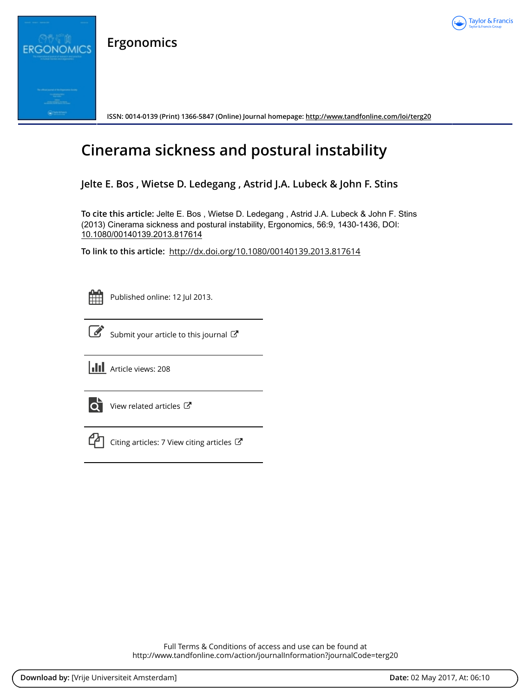

**Ergonomics**



**ISSN: 0014-0139 (Print) 1366-5847 (Online) Journal homepage:<http://www.tandfonline.com/loi/terg20>**

# **Cinerama sickness and postural instability**

**Jelte E. Bos , Wietse D. Ledegang , Astrid J.A. Lubeck & John F. Stins**

**To cite this article:** Jelte E. Bos , Wietse D. Ledegang , Astrid J.A. Lubeck & John F. Stins (2013) Cinerama sickness and postural instability, Ergonomics, 56:9, 1430-1436, DOI: [10.1080/00140139.2013.817614](http://www.tandfonline.com/action/showCitFormats?doi=10.1080/00140139.2013.817614)

**To link to this article:** <http://dx.doi.org/10.1080/00140139.2013.817614>



Published online: 12 Jul 2013.



 $\overrightarrow{S}$  [Submit your article to this journal](http://www.tandfonline.com/action/authorSubmission?journalCode=terg20&show=instructions)  $\overrightarrow{S}$ 

**Article views: 208** 



 $\overrightarrow{Q}$  [View related articles](http://www.tandfonline.com/doi/mlt/10.1080/00140139.2013.817614)  $\overrightarrow{C}$ 



 $\mathbb{C}$  [Citing articles: 7 View citing articles](http://www.tandfonline.com/doi/citedby/10.1080/00140139.2013.817614#tabModule)  $\mathbb{C}$ 

Full Terms & Conditions of access and use can be found at <http://www.tandfonline.com/action/journalInformation?journalCode=terg20>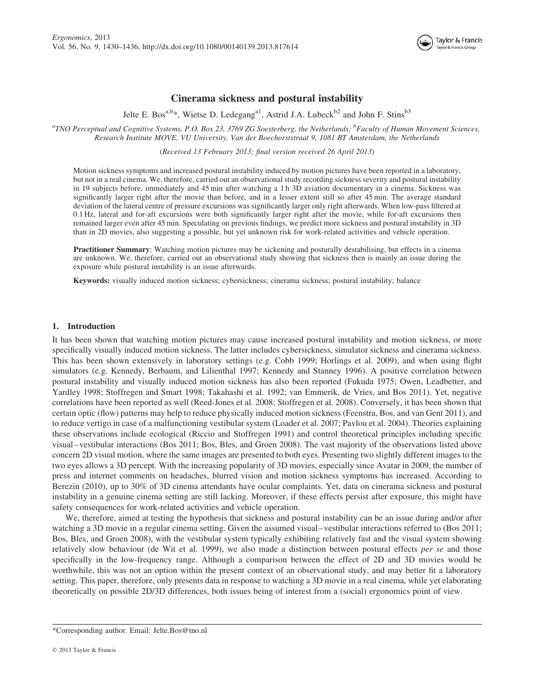

# Cinerama sickness and postural instability

Jelte E. Bos<sup>a,b\*</sup>, Wietse D. Ledegang<sup>a1</sup>, Astrid J.A. Lubeck<sup>b2</sup> and John F. Stins<sup>b3</sup>

 ${}^a$ TNO Perceptual and Cognitive Systems, P.O. Box 23, 3769 ZG Soesterberg, the Netherlands;  ${}^b$ Faculty of Human Movement Sciences, Research Institute MOVE, VU University, Van der Boechorststraat 9, 1081 BT Amsterdam, the Netherlands

(Received 13 February 2013; final version received 26 April 2013)

Motion sickness symptoms and increased postural instability induced by motion pictures have been reported in a laboratory, but not in a real cinema. We, therefore, carried out an observational study recording sickness severity and postural instability in 19 subjects before, immediately and 45 min after watching a 1 h 3D aviation documentary in a cinema. Sickness was significantly larger right after the movie than before, and in a lesser extent still so after 45 min. The average standard deviation of the lateral centre of pressure excursions was significantly larger only right afterwards. When low-pass filtered at 0.1 Hz, lateral and for-aft excursions were both significantly larger right after the movie, while for-aft excursions then remained larger even after 45 min. Speculating on previous findings, we predict more sickness and postural instability in 3D than in 2D movies, also suggesting a possible, but yet unknown risk for work-related activities and vehicle operation.

Practitioner Summary: Watching motion pictures may be sickening and posturally destabilising, but effects in a cinema are unknown. We, therefore, carried out an observational study showing that sickness then is mainly an issue during the exposure while postural instability is an issue afterwards.

Keywords: visually induced motion sickness; cybersickness; cinerama sickness; postural instability; balance

## 1. Introduction

It has been shown that watching motion pictures may cause increased postural instability and motion sickness, or more specifically visually induced motion sickness. The latter includes cybersickness, simulator sickness and cinerama sickness. This has been shown extensively in laboratory settings (e.g. Cobb 1999; Horlings et al. 2009), and when using flight simulators (e.g. Kennedy, Berbaum, and Lilienthal 1997; Kennedy and Stanney 1996). A positive correlation between postural instability and visually induced motion sickness has also been reported (Fukuda 1975; Owen, Leadbetter, and Yardley 1998; Stoffregen and Smart 1998; Takahashi et al. 1992; van Emmerik, de Vries, and Bos 2011). Yet, negative correlations have been reported as well (Reed-Jones et al. 2008; Stoffregen et al. 2008). Conversely, it has been shown that certain optic (flow) patterns may help to reduce physically induced motion sickness (Feenstra, Bos, and van Gent 2011), and to reduce vertigo in case of a malfunctioning vestibular system (Loader et al. 2007; Pavlou et al. 2004). Theories explaining these observations include ecological (Riccio and Stoffregen 1991) and control theoretical principles including specific visual – vestibular interactions (Bos 2011; Bos, Bles, and Groen 2008). The vast majority of the observations listed above concern 2D visual motion, where the same images are presented to both eyes. Presenting two slightly different images to the two eyes allows a 3D percept. With the increasing popularity of 3D movies, especially since Avatar in 2009, the number of press and internet comments on headaches, blurred vision and motion sickness symptoms has increased. According to Berezin (2010), up to 30% of 3D cinema attendants have ocular complaints. Yet, data on cinerama sickness and postural instability in a genuine cinema setting are still lacking. Moreover, if these effects persist after exposure, this might have safety consequences for work-related activities and vehicle operation.

We, therefore, aimed at testing the hypothesis that sickness and postural instability can be an issue during and/or after watching a 3D movie in a regular cinema setting. Given the assumed visual – vestibular interactions referred to (Bos 2011; Bos, Bles, and Groen 2008), with the vestibular system typically exhibiting relatively fast and the visual system showing relatively slow behaviour (de Wit et al. 1999), we also made a distinction between postural effects per se and those specifically in the low-frequency range. Although a comparison between the effect of 2D and 3D movies would be worthwhile, this was not an option within the present context of an observational study, and may better fit a laboratory setting. This paper, therefore, only presents data in response to watching a 3D movie in a real cinema, while yet elaborating theoretically on possible 2D/3D differences, both issues being of interest from a (social) ergonomics point of view.

<sup>\*</sup>Corresponding author. Email: Jelte.Bos@tno.nl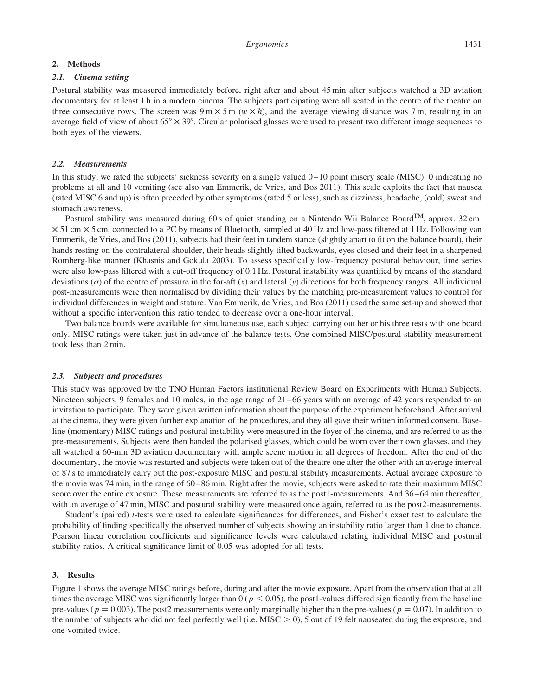## 2. Methods

# 2.1. Cinema setting

Postural stability was measured immediately before, right after and about 45 min after subjects watched a 3D aviation documentary for at least 1 h in a modern cinema. The subjects participating were all seated in the centre of the theatre on three consecutive rows. The screen was  $9 \text{ m} \times 5 \text{ m}$  (w  $\times h$ ), and the average viewing distance was 7 m, resulting in an average field of view of about  $65^{\circ} \times 39^{\circ}$ . Circular polarised glasses were used to present two different image sequences to both eyes of the viewers.

#### 2.2. Measurements

In this study, we rated the subjects' sickness severity on a single valued  $0-10$  point misery scale (MISC): 0 indicating no problems at all and 10 vomiting (see also van Emmerik, de Vries, and Bos 2011). This scale exploits the fact that nausea (rated MISC 6 and up) is often preceded by other symptoms (rated 5 or less), such as dizziness, headache, (cold) sweat and stomach awareness.

Postural stability was measured during 60 s of quiet standing on a Nintendo Wii Balance Board<sup>TM</sup>, approx. 32 cm  $\times$  51 cm  $\times$  5 cm, connected to a PC by means of Bluetooth, sampled at 40 Hz and low-pass filtered at 1 Hz. Following van Emmerik, de Vries, and Bos (2011), subjects had their feet in tandem stance (slightly apart to fit on the balance board), their hands resting on the contralateral shoulder, their heads slightly tilted backwards, eyes closed and their feet in a sharpened Romberg-like manner (Khasnis and Gokula 2003). To assess specifically low-frequency postural behaviour, time series were also low-pass filtered with a cut-off frequency of 0.1 Hz. Postural instability was quantified by means of the standard deviations  $(\sigma)$  of the centre of pressure in the for-aft  $(x)$  and lateral  $(y)$  directions for both frequency ranges. All individual post-measurements were then normalised by dividing their values by the matching pre-measurement values to control for individual differences in weight and stature. Van Emmerik, de Vries, and Bos (2011) used the same set-up and showed that without a specific intervention this ratio tended to decrease over a one-hour interval.

Two balance boards were available for simultaneous use, each subject carrying out her or his three tests with one board only. MISC ratings were taken just in advance of the balance tests. One combined MISC/postural stability measurement took less than 2 min.

# 2.3. Subjects and procedures

This study was approved by the TNO Human Factors institutional Review Board on Experiments with Human Subjects. Nineteen subjects, 9 females and 10 males, in the age range of 21–66 years with an average of 42 years responded to an invitation to participate. They were given written information about the purpose of the experiment beforehand. After arrival at the cinema, they were given further explanation of the procedures, and they all gave their written informed consent. Baseline (momentary) MISC ratings and postural instability were measured in the foyer of the cinema, and are referred to as the pre-measurements. Subjects were then handed the polarised glasses, which could be worn over their own glasses, and they all watched a 60-min 3D aviation documentary with ample scene motion in all degrees of freedom. After the end of the documentary, the movie was restarted and subjects were taken out of the theatre one after the other with an average interval of 87 s to immediately carry out the post-exposure MISC and postural stability measurements. Actual average exposure to the movie was 74 min, in the range of 60– 86 min. Right after the movie, subjects were asked to rate their maximum MISC score over the entire exposure. These measurements are referred to as the post1-measurements. And 36–64 min thereafter, with an average of 47 min, MISC and postural stability were measured once again, referred to as the post2-measurements.

Student's (paired) t-tests were used to calculate significances for differences, and Fisher's exact test to calculate the probability of finding specifically the observed number of subjects showing an instability ratio larger than 1 due to chance. Pearson linear correlation coefficients and significance levels were calculated relating individual MISC and postural stability ratios. A critical significance limit of 0.05 was adopted for all tests.

#### 3. Results

Figure 1 shows the average MISC ratings before, during and after the movie exposure. Apart from the observation that at all times the average MISC was significantly larger than  $0 (p < 0.05)$ , the post1-values differed significantly from the baseline pre-values ( $p = 0.003$ ). The post2 measurements were only marginally higher than the pre-values ( $p = 0.07$ ). In addition to the number of subjects who did not feel perfectly well (i.e. MISC  $> 0$ ), 5 out of 19 felt nauseated during the exposure, and one vomited twice.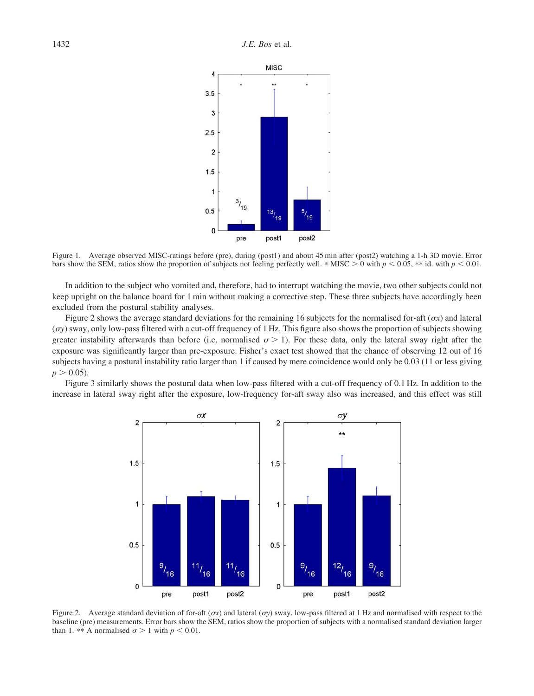

Figure 1. Average observed MISC-ratings before (pre), during (post1) and about 45 min after (post2) watching a 1-h 3D movie. Error bars show the SEM, ratios show the proportion of subjects not feeling perfectly well. \* MISC > 0 with  $p < 0.05$ , \*\* id. with  $p < 0.01$ .

In addition to the subject who vomited and, therefore, had to interrupt watching the movie, two other subjects could not keep upright on the balance board for 1 min without making a corrective step. These three subjects have accordingly been excluded from the postural stability analyses.

Figure 2 shows the average standard deviations for the remaining 16 subjects for the normalised for-aft ( $\sigma x$ ) and lateral  $(\sigma y)$  sway, only low-pass filtered with a cut-off frequency of 1 Hz. This figure also shows the proportion of subjects showing greater instability afterwards than before (i.e. normalised  $\sigma > 1$ ). For these data, only the lateral sway right after the exposure was significantly larger than pre-exposure. Fisher's exact test showed that the chance of observing 12 out of 16 subjects having a postural instability ratio larger than 1 if caused by mere coincidence would only be 0.03 (11 or less giving  $p > 0.05$ ).

Figure 3 similarly shows the postural data when low-pass filtered with a cut-off frequency of 0.1 Hz. In addition to the increase in lateral sway right after the exposure, low-frequency for-aft sway also was increased, and this effect was still



Figure 2. Average standard deviation of for-aft ( $\sigma x$ ) and lateral ( $\sigma y$ ) sway, low-pass filtered at 1 Hz and normalised with respect to the baseline (pre) measurements. Error bars show the SEM, ratios show the proportion of subjects with a normalised standard deviation larger than 1. \*\* A normalised  $\sigma > 1$  with  $p < 0.01$ .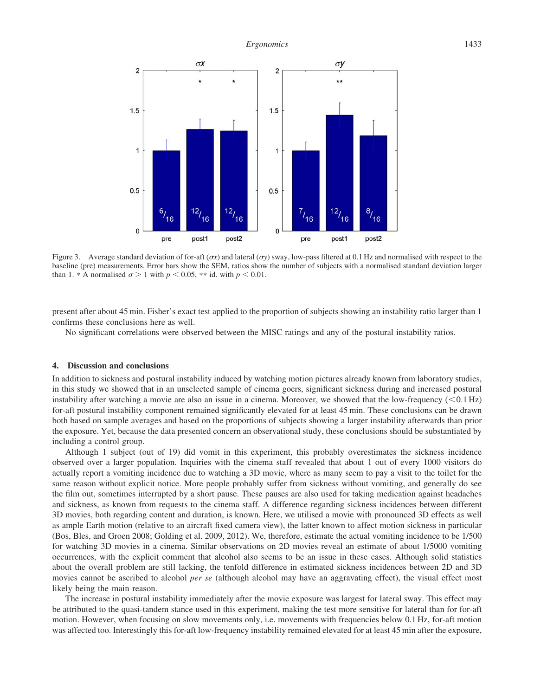

Figure 3. Average standard deviation of for-aft ( $\sigma x$ ) and lateral ( $\sigma y$ ) sway, low-pass filtered at 0.1 Hz and normalised with respect to the baseline (pre) measurements. Error bars show the SEM, ratios show the number of subjects with a normalised standard deviation larger than 1. \* A normalised  $\sigma > 1$  with  $p < 0.05$ , \*\* id. with  $p < 0.01$ .

present after about 45 min. Fisher's exact test applied to the proportion of subjects showing an instability ratio larger than 1 confirms these conclusions here as well.

No significant correlations were observed between the MISC ratings and any of the postural instability ratios.

# 4. Discussion and conclusions

In addition to sickness and postural instability induced by watching motion pictures already known from laboratory studies, in this study we showed that in an unselected sample of cinema goers, significant sickness during and increased postural instability after watching a movie are also an issue in a cinema. Moreover, we showed that the low-frequency  $(< 0.1 Hz$ ) for-aft postural instability component remained significantly elevated for at least 45 min. These conclusions can be drawn both based on sample averages and based on the proportions of subjects showing a larger instability afterwards than prior the exposure. Yet, because the data presented concern an observational study, these conclusions should be substantiated by including a control group.

Although 1 subject (out of 19) did vomit in this experiment, this probably overestimates the sickness incidence observed over a larger population. Inquiries with the cinema staff revealed that about 1 out of every 1000 visitors do actually report a vomiting incidence due to watching a 3D movie, where as many seem to pay a visit to the toilet for the same reason without explicit notice. More people probably suffer from sickness without vomiting, and generally do see the film out, sometimes interrupted by a short pause. These pauses are also used for taking medication against headaches and sickness, as known from requests to the cinema staff. A difference regarding sickness incidences between different 3D movies, both regarding content and duration, is known. Here, we utilised a movie with pronounced 3D effects as well as ample Earth motion (relative to an aircraft fixed camera view), the latter known to affect motion sickness in particular (Bos, Bles, and Groen 2008; Golding et al. 2009, 2012). We, therefore, estimate the actual vomiting incidence to be 1/500 for watching 3D movies in a cinema. Similar observations on 2D movies reveal an estimate of about 1/5000 vomiting occurrences, with the explicit comment that alcohol also seems to be an issue in these cases. Although solid statistics about the overall problem are still lacking, the tenfold difference in estimated sickness incidences between 2D and 3D movies cannot be ascribed to alcohol *per se* (although alcohol may have an aggravating effect), the visual effect most likely being the main reason.

The increase in postural instability immediately after the movie exposure was largest for lateral sway. This effect may be attributed to the quasi-tandem stance used in this experiment, making the test more sensitive for lateral than for for-aft motion. However, when focusing on slow movements only, i.e. movements with frequencies below 0.1 Hz, for-aft motion was affected too. Interestingly this for-aft low-frequency instability remained elevated for at least 45 min after the exposure,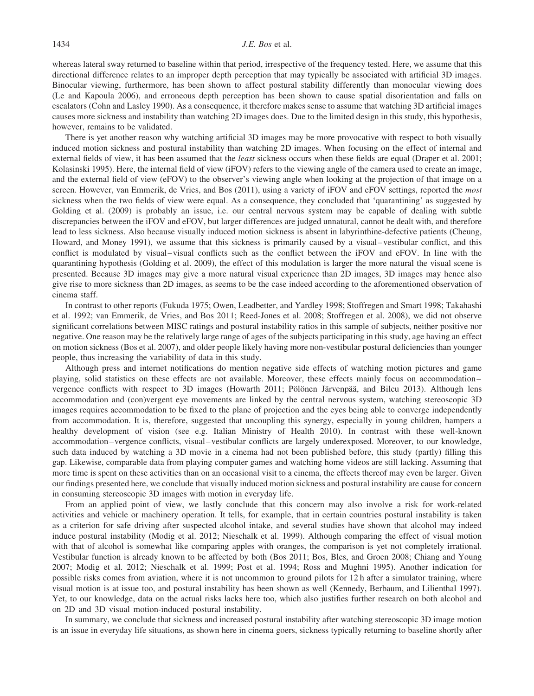whereas lateral sway returned to baseline within that period, irrespective of the frequency tested. Here, we assume that this directional difference relates to an improper depth perception that may typically be associated with artificial 3D images. Binocular viewing, furthermore, has been shown to affect postural stability differently than monocular viewing does (Le and Kapoula 2006), and erroneous depth perception has been shown to cause spatial disorientation and falls on escalators (Cohn and Lasley 1990). As a consequence, it therefore makes sense to assume that watching 3D artificial images causes more sickness and instability than watching 2D images does. Due to the limited design in this study, this hypothesis, however, remains to be validated.

There is yet another reason why watching artificial 3D images may be more provocative with respect to both visually induced motion sickness and postural instability than watching 2D images. When focusing on the effect of internal and external fields of view, it has been assumed that the least sickness occurs when these fields are equal (Draper et al. 2001; Kolasinski 1995). Here, the internal field of view (iFOV) refers to the viewing angle of the camera used to create an image, and the external field of view (eFOV) to the observer's viewing angle when looking at the projection of that image on a screen. However, van Emmerik, de Vries, and Bos (2011), using a variety of iFOV and eFOV settings, reported the most sickness when the two fields of view were equal. As a consequence, they concluded that 'quarantining' as suggested by Golding et al. (2009) is probably an issue, i.e. our central nervous system may be capable of dealing with subtle discrepancies between the iFOV and eFOV, but larger differences are judged unnatural, cannot be dealt with, and therefore lead to less sickness. Also because visually induced motion sickness is absent in labyrinthine-defective patients (Cheung, Howard, and Money 1991), we assume that this sickness is primarily caused by a visual – vestibular conflict, and this conflict is modulated by visual–visual conflicts such as the conflict between the iFOV and eFOV. In line with the quarantining hypothesis (Golding et al. 2009), the effect of this modulation is larger the more natural the visual scene is presented. Because 3D images may give a more natural visual experience than 2D images, 3D images may hence also give rise to more sickness than 2D images, as seems to be the case indeed according to the aforementioned observation of cinema staff.

In contrast to other reports (Fukuda 1975; Owen, Leadbetter, and Yardley 1998; Stoffregen and Smart 1998; Takahashi et al. 1992; van Emmerik, de Vries, and Bos 2011; Reed-Jones et al. 2008; Stoffregen et al. 2008), we did not observe significant correlations between MISC ratings and postural instability ratios in this sample of subjects, neither positive nor negative. One reason may be the relatively large range of ages of the subjects participating in this study, age having an effect on motion sickness (Bos et al. 2007), and older people likely having more non-vestibular postural deficiencies than younger people, thus increasing the variability of data in this study.

Although press and internet notifications do mention negative side effects of watching motion pictures and game playing, solid statistics on these effects are not available. Moreover, these effects mainly focus on accommodation – vergence conflicts with respect to 3D images (Howarth 2011; Pölönen Järvenpää, and Bilcu 2013). Although lens accommodation and (con)vergent eye movements are linked by the central nervous system, watching stereoscopic 3D images requires accommodation to be fixed to the plane of projection and the eyes being able to converge independently from accommodation. It is, therefore, suggested that uncoupling this synergy, especially in young children, hampers a healthy development of vision (see e.g. Italian Ministry of Health 2010). In contrast with these well-known accommodation – vergence conflicts, visual – vestibular conflicts are largely underexposed. Moreover, to our knowledge, such data induced by watching a 3D movie in a cinema had not been published before, this study (partly) filling this gap. Likewise, comparable data from playing computer games and watching home videos are still lacking. Assuming that more time is spent on these activities than on an occasional visit to a cinema, the effects thereof may even be larger. Given our findings presented here, we conclude that visually induced motion sickness and postural instability are cause for concern in consuming stereoscopic 3D images with motion in everyday life.

From an applied point of view, we lastly conclude that this concern may also involve a risk for work-related activities and vehicle or machinery operation. It tells, for example, that in certain countries postural instability is taken as a criterion for safe driving after suspected alcohol intake, and several studies have shown that alcohol may indeed induce postural instability (Modig et al. 2012; Nieschalk et al. 1999). Although comparing the effect of visual motion with that of alcohol is somewhat like comparing apples with oranges, the comparison is yet not completely irrational. Vestibular function is already known to be affected by both (Bos 2011; Bos, Bles, and Groen 2008; Chiang and Young 2007; Modig et al. 2012; Nieschalk et al. 1999; Post et al. 1994; Ross and Mughni 1995). Another indication for possible risks comes from aviation, where it is not uncommon to ground pilots for 12 h after a simulator training, where visual motion is at issue too, and postural instability has been shown as well (Kennedy, Berbaum, and Lilienthal 1997). Yet, to our knowledge, data on the actual risks lacks here too, which also justifies further research on both alcohol and on 2D and 3D visual motion-induced postural instability.

In summary, we conclude that sickness and increased postural instability after watching stereoscopic 3D image motion is an issue in everyday life situations, as shown here in cinema goers, sickness typically returning to baseline shortly after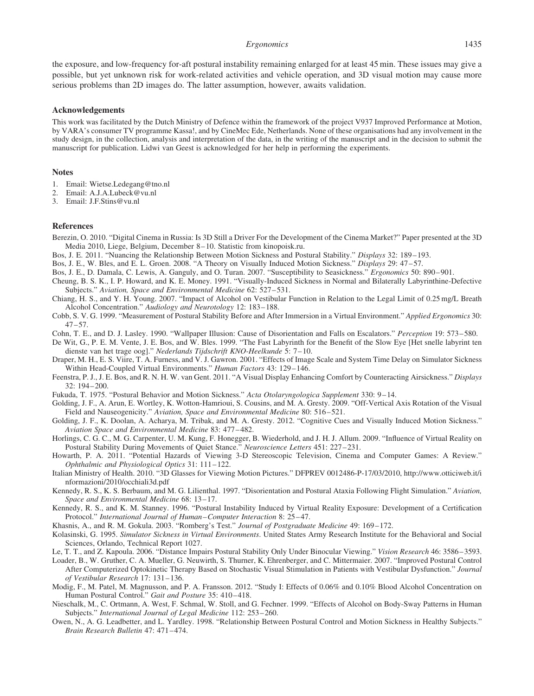#### Ergonomics 1435

the exposure, and low-frequency for-aft postural instability remaining enlarged for at least 45 min. These issues may give a possible, but yet unknown risk for work-related activities and vehicle operation, and 3D visual motion may cause more serious problems than 2D images do. The latter assumption, however, awaits validation.

#### Acknowledgements

This work was facilitated by the Dutch Ministry of Defence within the framework of the project V937 Improved Performance at Motion, by VARA's consumer TV programme Kassa!, and by CineMec Ede, Netherlands. None of these organisations had any involvement in the study design, in the collection, analysis and interpretation of the data, in the writing of the manuscript and in the decision to submit the manuscript for publication. Lidwi van Geest is acknowledged for her help in performing the experiments.

#### Notes

- 1. Email: Wietse.Ledegang@tno.nl
- 2. Email: A.J.A.Lubeck@vu.nl
- 3. Email: J.F.Stins@vu.nl

## References

- Berezin, O. 2010. "Digital Cinema in Russia: Is 3D Still a Driver For the Development of the Cinema Market?" Paper presented at the 3D Media 2010, Liege, Belgium, December 8 – 10. Statistic from kinopoisk.ru.
- Bos, J. E. 2011. "Nuancing the Relationship Between Motion Sickness and Postural Stability." Displays 32: 189–193.
- Bos, J. E., W. Bles, and E. L. Groen. 2008. "A Theory on Visually Induced Motion Sickness." Displays 29: 47–57.
- Bos, J. E., D. Damala, C. Lewis, A. Ganguly, and O. Turan. 2007. "Susceptibility to Seasickness." Ergonomics 50: 890– 901.
- Cheung, B. S. K., I. P. Howard, and K. E. Money. 1991. "Visually-Induced Sickness in Normal and Bilaterally Labyrinthine-Defective Subjects." Aviation, Space and Environmental Medicine 62: 527-531.
- Chiang, H. S., and Y. H. Young. 2007. "Impact of Alcohol on Vestibular Function in Relation to the Legal Limit of 0.25 mg/L Breath Alcohol Concentration." Audiology and Neurotology 12: 183–188.
- Cobb, S. V. G. 1999. "Measurement of Postural Stability Before and After Immersion in a Virtual Environment." Applied Ergonomics 30:  $47 - 57.$
- Cohn, T. E., and D. J. Lasley. 1990. "Wallpaper Illusion: Cause of Disorientation and Falls on Escalators." *Perception* 19: 573–580.
- De Wit, G., P. E. M. Vente, J. E. Bos, and W. Bles. 1999. "The Fast Labyrinth for the Benefit of the Slow Eye [Het snelle labyrint ten dienste van het trage oog]." Nederlands Tijdschrift KNO-Heelkunde 5: 7 – 10.
- Draper, M. H., E. S. Viire, T. A. Furness, and V. J. Gawron. 2001. "Effects of Image Scale and System Time Delay on Simulator Sickness Within Head-Coupled Virtual Environments." Human Factors 43: 129-146.
- Feenstra, P. J., J. E. Bos, and R. N. H. W. van Gent. 2011. "A Visual Display Enhancing Comfort by Counteracting Airsickness." Displays 32: 194– 200.
- Fukuda, T. 1975. "Postural Behavior and Motion Sickness." Acta Otolaryngologica Supplement 330: 9 14.
- Golding, J. F., A. Arun, E. Wortley, K. Wotton-Hamrioui, S. Cousins, and M. A. Gresty. 2009. "Off-Vertical Axis Rotation of the Visual Field and Nauseogenicity." Aviation, Space and Environmental Medicine 80: 516–521.
- Golding, J. F., K. Doolan, A. Acharya, M. Tribak, and M. A. Gresty. 2012. "Cognitive Cues and Visually Induced Motion Sickness." Aviation Space and Environmental Medicine 83: 477– 482.
- Horlings, C. G. C., M. G. Carpenter, U. M. Kung, F. Honegger, B. Wiederhold, and J. H. J. Allum. 2009. "Influence of Virtual Reality on Postural Stability During Movements of Quiet Stance." Neuroscience Letters 451: 227-231.
- Howarth, P. A. 2011. "Potential Hazards of Viewing 3-D Stereoscopic Television, Cinema and Computer Games: A Review." Ophthalmic and Physiological Optics 31: 111– 122.
- Italian Ministry of Health. 2010. "3D Glasses for Viewing Motion Pictures." DFPREV 0012486-P-17/03/2010, http://www.otticiweb.it/i nformazioni/2010/occhiali3d.pdf
- Kennedy, R. S., K. S. Berbaum, and M. G. Lilienthal. 1997. "Disorientation and Postural Ataxia Following Flight Simulation." Aviation, Space and Environmental Medicine 68: 13 –17.
- Kennedy, R. S., and K. M. Stanney. 1996. "Postural Instability Induced by Virtual Reality Exposure: Development of a Certification Protocol." International Journal of Human–Computer Interaction 8: 25 – 47.
- Khasnis, A., and R. M. Gokula. 2003. "Romberg's Test." Journal of Postgraduate Medicine 49: 169–172.
- Kolasinski, G. 1995. Simulator Sickness in Virtual Environments. United States Army Research Institute for the Behavioral and Social Sciences, Orlando, Technical Report 1027.
- Le, T. T., and Z. Kapoula. 2006. "Distance Impairs Postural Stability Only Under Binocular Viewing." Vision Research 46: 3586– 3593.
- Loader, B., W. Gruther, C. A. Mueller, G. Neuwirth, S. Thurner, K. Ehrenberger, and C. Mittermaier. 2007. "Improved Postural Control After Computerized Optokinetic Therapy Based on Stochastic Visual Stimulation in Patients with Vestibular Dysfunction." Journal of Vestibular Research 17: 131– 136.
- Modig, F., M. Patel, M. Magnusson, and P. A. Fransson. 2012. "Study I: Effects of 0.06% and 0.10% Blood Alcohol Concentration on Human Postural Control." Gait and Posture 35: 410-418.
- Nieschalk, M., C. Ortmann, A. West, F. Schmal, W. Stoll, and G. Fechner. 1999. "Effects of Alcohol on Body-Sway Patterns in Human Subjects." International Journal of Legal Medicine 112: 253– 260.
- Owen, N., A. G. Leadbetter, and L. Yardley. 1998. "Relationship Between Postural Control and Motion Sickness in Healthy Subjects." Brain Research Bulletin 47: 471-474.